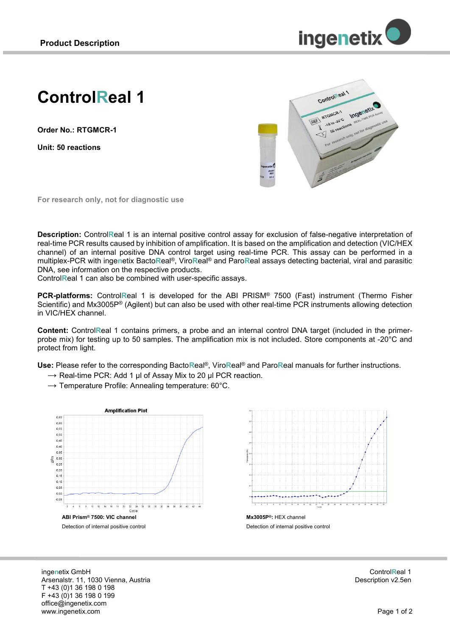

# **ControlReal 1**

**Order No.: RTGMCR-1**

**Unit: 50 reactions**



**For research only, not for diagnostic use**

**Description:** Control**R**eal 1 is an internal positive control assay for exclusion of false-negative interpretation of real-time PCR results caused by inhibition of amplification. It is based on the amplification and detection (VIC/HEX channel) of an internal positive DNA control target using real-time PCR. This assay can be performed in a multiplex-PCR with inge**n**etix Bacto**R**eal®, Viro**R**eal® and Paro**R**eal assays detecting bacterial, viral and parasitic DNA, see information on the respective products.

Control**R**eal 1 can also be combined with user-specific assays.

**PCR-platforms:** Control**R**eal 1 is developed for the ABI PRISM® 7500 (Fast) instrument (Thermo Fisher Scientific) and Mx3005P® (Agilent) but can also be used with other real-time PCR instruments allowing detection in VIC/HEX channel.

**Content:** Control**R**eal 1 contains primers, a probe and an internal control DNA target (included in the primerprobe mix) for testing up to 50 samples. The amplification mix is not included. Store components at -20°C and protect from light.

**Use:** Please refer to the corresponding Bacto**R**eal®, Viro**R**eal® and Paro**R**eal manuals for further instructions.

 $\rightarrow$  Real-time PCR: Add 1 µl of Assay Mix to 20 µl PCR reaction.

 $\rightarrow$  Temperature Profile: Annealing temperature: 60°C.

**Amplification Plot** 0,65  $0,60$  $0.66$  $0.50$  $0.45$  $0,40$  $0,35$ g  $_{0,30}$ 0.25  $0.20$  $0,15$  $0,10$  $0.05$  $0,00$  $-0.05$ 6 8 10 12 14 16  $18 \times 20$  $22 - 24$ <br>Cycle ÷  $\frac{1}{2R}$ T.  $\frac{1}{38}$ ÷ **ABI Prism® 7500: VIC channel** Detection of internal positive control



Detection of internal positive control

inge**n**etix GmbH Arsenalstr. 11, 1030 Vienna, Austria T +43 (0)1 36 198 0 198 F +43 (0)1 36 198 0 199 office@ingenetix.com www.ingenetix.com

Control**R**eal 1 Description v2.5en